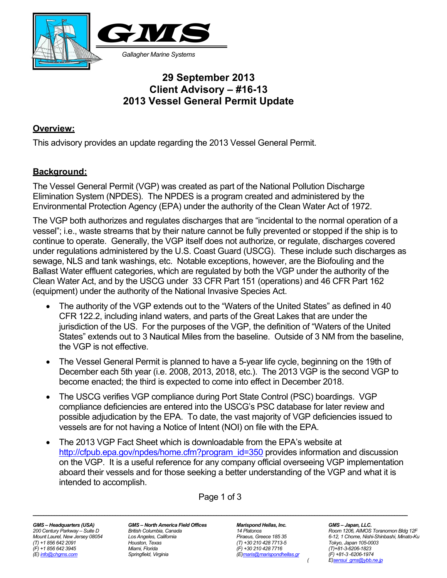

# **29 September 2013 Client Advisory – #16-13 2013 Vessel General Permit Update**

#### **Overview:**

This advisory provides an update regarding the 2013 Vessel General Permit.

#### **Background:**

The Vessel General Permit (VGP) was created as part of the National Pollution Discharge Elimination System (NPDES). The NPDES is a program created and administered by the Environmental Protection Agency (EPA) under the authority of the Clean Water Act of 1972.

The VGP both authorizes and regulates discharges that are "incidental to the normal operation of a vessel"; i.e., waste streams that by their nature cannot be fully prevented or stopped if the ship is to continue to operate. Generally, the VGP itself does not authorize, or regulate, discharges covered under regulations administered by the U.S. Coast Guard (USCG). These include such discharges as sewage, NLS and tank washings, etc. Notable exceptions, however, are the Biofouling and the Ballast Water effluent categories, which are regulated by both the VGP under the authority of the Clean Water Act, and by the USCG under 33 CFR Part 151 (operations) and 46 CFR Part 162 (equipment) under the authority of the National Invasive Species Act.

- The authority of the VGP extends out to the "Waters of the United States" as defined in 40 CFR 122.2, including inland waters, and parts of the Great Lakes that are under the jurisdiction of the US. For the purposes of the VGP, the definition of "Waters of the United States" extends out to 3 Nautical Miles from the baseline. Outside of 3 NM from the baseline, the VGP is not effective.
- The Vessel General Permit is planned to have a 5-year life cycle, beginning on the 19th of December each 5th year (i.e. 2008, 2013, 2018, etc.). The 2013 VGP is the second VGP to become enacted; the third is expected to come into effect in December 2018.
- The USCG verifies VGP compliance during Port State Control (PSC) boardings. VGP compliance deficiencies are entered into the USCG's PSC database for later review and possible adjudication by the EPA. To date, the vast majority of VGP deficiencies issued to vessels are for not having a Notice of Intent (NOI) on file with the EPA.
- The 2013 VGP Fact Sheet which is downloadable from the EPA's website at http://cfpub.epa.gov/npdes/home.cfm?program\_id=350 provides information and discussion on the VGP. It is a useful reference for any company official overseeing VGP implementation aboard their vessels and for those seeking a better understanding of the VGP and what it is intended to accomplish.

*\_\_\_\_\_\_\_\_\_\_\_\_\_\_\_\_\_\_\_\_\_\_\_\_\_\_\_\_\_\_\_\_\_\_\_\_\_\_\_\_\_\_\_\_\_\_\_\_\_\_\_\_\_\_\_\_\_\_\_\_\_\_\_\_\_\_\_\_\_\_\_\_\_\_\_\_\_\_\_\_\_\_\_\_\_\_\_\_\_\_\_\_\_\_\_\_\_\_\_\_\_\_\_\_\_\_\_\_\_\_\_\_\_\_\_\_\_\_\_\_\_\_\_\_\_\_\_\_\_\_\_\_\_\_\_\_\_\_\_\_\_* 

Page 1 of 3

*(T) +1 856 642 2091 Houston, Texas (T) +30 210 428 7713-5 Tokyo, Japan 105-0003* 

*GMS – Headquarters (USA) GMS – North America Field Offices Marispond Hellas, Inc. GMS – Japan, LLC. (F) +1 856 642 3945 Miami, Florida (F) +30 210 428 7716 (T)+81-3-6206-1823* 

*(E) info@chgms.com Springfield, Virginia (E)maris@marispondhellas.gr (F) +81-3 -6206-1974* 

*200 Century Parkway – Suite D British Columbia, Canada 14 Platonos Room 1206, AIMOS Toranomon Bldg 12F Mount Laurel, New Jersey 08054 Los Angeles, California Piraeus, Greece 185 35 6-12, 1 Chome, Nishi-Shinbashi, Minato-Ku ( E)sensui\_gms@ybb.ne.jp*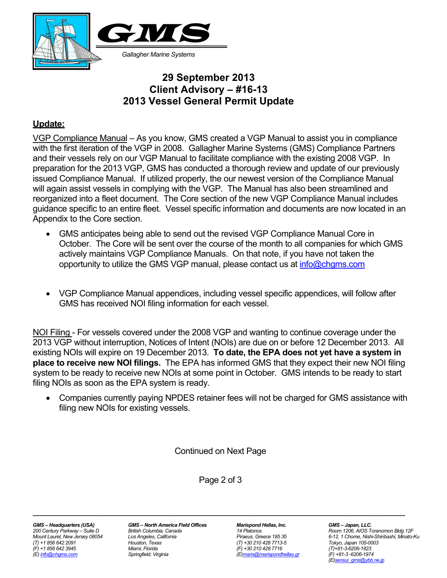

# **29 September 2013 Client Advisory – #16-13 2013 Vessel General Permit Update**

#### **Update:**

VGP Compliance Manual – As you know, GMS created a VGP Manual to assist you in compliance with the first iteration of the VGP in 2008. Gallagher Marine Systems (GMS) Compliance Partners and their vessels rely on our VGP Manual to facilitate compliance with the existing 2008 VGP. In preparation for the 2013 VGP, GMS has conducted a thorough review and update of our previously issued Compliance Manual. If utilized properly, the our newest version of the Compliance Manual will again assist vessels in complying with the VGP. The Manual has also been streamlined and reorganized into a fleet document. The Core section of the new VGP Compliance Manual includes guidance specific to an entire fleet. Vessel specific information and documents are now located in an Appendix to the Core section.

- GMS anticipates being able to send out the revised VGP Compliance Manual Core in October. The Core will be sent over the course of the month to all companies for which GMS actively maintains VGP Compliance Manuals. On that note, if you have not taken the opportunity to utilize the GMS VGP manual, please contact us at info@chgms.com
- VGP Compliance Manual appendices, including vessel specific appendices, will follow after GMS has received NOI filing information for each vessel.

NOI Filing - For vessels covered under the 2008 VGP and wanting to continue coverage under the 2013 VGP without interruption, Notices of Intent (NOIs) are due on or before 12 December 2013. All existing NOIs will expire on 19 December 2013. **To date, the EPA does not yet have a system in place to receive new NOI filings.** The EPA has informed GMS that they expect their new NOI filing system to be ready to receive new NOIs at some point in October. GMS intends to be ready to start filing NOIs as soon as the EPA system is ready.

• Companies currently paying NPDES retainer fees will not be charged for GMS assistance with filing new NOIs for existing vessels.

Continued on Next Page

Page 2 of 3

*\_\_\_\_\_\_\_\_\_\_\_\_\_\_\_\_\_\_\_\_\_\_\_\_\_\_\_\_\_\_\_\_\_\_\_\_\_\_\_\_\_\_\_\_\_\_\_\_\_\_\_\_\_\_\_\_\_\_\_\_\_\_\_\_\_\_\_\_\_\_\_\_\_\_\_\_\_\_\_\_\_\_\_\_\_\_\_\_\_\_\_\_\_\_\_\_\_\_\_\_\_\_\_\_\_\_\_\_\_\_\_\_\_\_\_\_\_\_\_\_\_\_\_\_\_\_\_\_\_\_\_\_\_\_\_\_\_\_\_\_* 

*GMS – Headquarters (USA) GMS – North America Field Offices Marispond Hellas, Inc. GMS – Japan, LLC. (T) +1 856 642 2091 Houston, Texas (T) +30 210 428 7713-5 Tokyo, Japan 105-0003 (F) +1 856 642 3945 Miami, Florida (F) +30 210 428 7716 (T)+81-3-6206-1823* 

*(E) info@chgms.com Springfield, Virginia (E)maris@marispondhellas.gr (F) +81-3 -6206-1974* 

*200 Century Parkway – Suite D British Columbia, Canada 14 Platonos Room 1206, AIOS Toranomon Bldg 12F Mount Laurel, New Jersey 08054 Los Angeles, California Piraeus, Greece 185 35 6-12, 1 Chome, Nishi-Shinbashi, Minato-Ku (E)sensui\_gms@ybb.ne.jp*